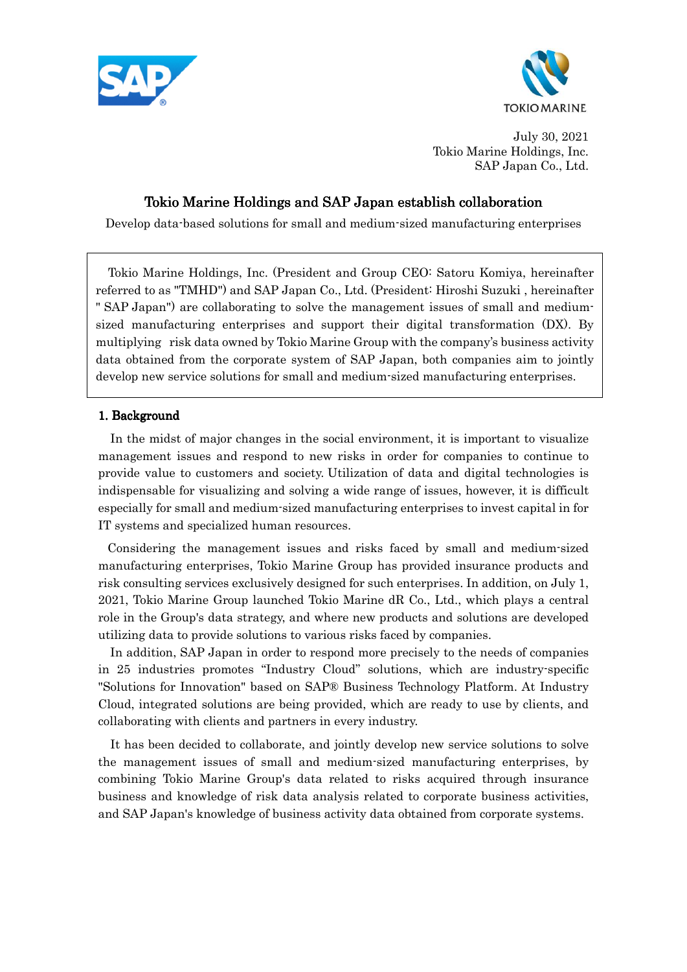



July 30, 2021 Tokio Marine Holdings, Inc. SAP Japan Co., Ltd.

# Tokio Marine Holdings and SAP Japan establish collaboration

Develop data-based solutions for small and medium-sized manufacturing enterprises

Tokio Marine Holdings, Inc. (President and Group CEO: Satoru Komiya, hereinafter referred to as "TMHD") and SAP Japan Co., Ltd. (President: Hiroshi Suzuki , hereinafter " SAP Japan") are collaborating to solve the management issues of small and mediumsized manufacturing enterprises and support their digital transformation (DX). By multiplying risk data owned by Tokio Marine Group with the company's business activity data obtained from the corporate system of SAP Japan, both companies aim to jointly develop new service solutions for small and medium-sized manufacturing enterprises.

### 1. Background

In the midst of major changes in the social environment, it is important to visualize management issues and respond to new risks in order for companies to continue to provide value to customers and society. Utilization of data and digital technologies is indispensable for visualizing and solving a wide range of issues, however, it is difficult especially for small and medium-sized manufacturing enterprises to invest capital in for IT systems and specialized human resources.

 Considering the management issues and risks faced by small and medium-sized manufacturing enterprises, Tokio Marine Group has provided insurance products and risk consulting services exclusively designed for such enterprises. In addition, on July 1, 2021, Tokio Marine Group launched Tokio Marine dR Co., Ltd., which plays a central role in the Group's data strategy, and where new products and solutions are developed utilizing data to provide solutions to various risks faced by companies.

 In addition, SAP Japan in order to respond more precisely to the needs of companies in 25 industries promotes "Industry Cloud" solutions, which are industry-specific "Solutions for Innovation" based on SAP® Business Technology Platform. At Industry Cloud, integrated solutions are being provided, which are ready to use by clients, and collaborating with clients and partners in every industry.

It has been decided to collaborate, and jointly develop new service solutions to solve the management issues of small and medium-sized manufacturing enterprises, by combining Tokio Marine Group's data related to risks acquired through insurance business and knowledge of risk data analysis related to corporate business activities, and SAP Japan's knowledge of business activity data obtained from corporate systems.